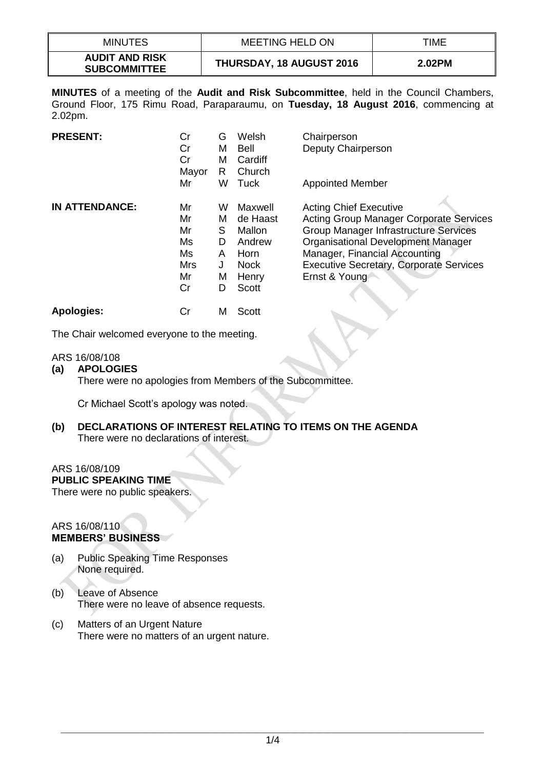| <b>MINUTES</b>                               | MEETING HELD ON                 | TIME   |
|----------------------------------------------|---------------------------------|--------|
| <b>AUDIT AND RISK</b><br><b>SUBCOMMITTEE</b> | <b>THURSDAY, 18 AUGUST 2016</b> | 2.02PM |

**MINUTES** of a meeting of the **Audit and Risk Subcommittee**, held in the Council Chambers, Ground Floor, 175 Rimu Road, Paraparaumu, on **Tuesday, 18 August 2016**, commencing at 2.02pm.

| <b>PRESENT:</b>       | Cr<br>Cr<br>Cr<br>Mayor                              | G<br>м<br>м<br>R                     | Welsh<br>Bell<br>Cardiff<br>Church                                                      | Chairperson<br>Deputy Chairperson                                                                                                                                                                                                                                                |
|-----------------------|------------------------------------------------------|--------------------------------------|-----------------------------------------------------------------------------------------|----------------------------------------------------------------------------------------------------------------------------------------------------------------------------------------------------------------------------------------------------------------------------------|
|                       | Mr                                                   | w                                    | Tuck                                                                                    | <b>Appointed Member</b>                                                                                                                                                                                                                                                          |
| <b>IN ATTENDANCE:</b> | Mr<br>Mr<br>Mr<br>Ms<br>Ms<br><b>Mrs</b><br>Mr<br>Cr | w<br>м<br>S<br>D<br>A<br>J<br>M<br>D | Maxwell<br>de Haast<br>Mallon<br>Andrew<br>Horn<br><b>Nock</b><br>Henry<br><b>Scott</b> | <b>Acting Chief Executive</b><br><b>Acting Group Manager Corporate Services</b><br><b>Group Manager Infrastructure Services</b><br><b>Organisational Development Manager</b><br>Manager, Financial Accounting<br><b>Executive Secretary, Corporate Services</b><br>Ernst & Young |
| <b>Apologies:</b>     | Cr                                                   | м                                    | Scott                                                                                   |                                                                                                                                                                                                                                                                                  |

The Chair welcomed everyone to the meeting.

## ARS 16/08/108

**(a) APOLOGIES**

There were no apologies from Members of the Subcommittee.

Cr Michael Scott's apology was noted.

**(b) DECLARATIONS OF INTEREST RELATING TO ITEMS ON THE AGENDA** There were no declarations of interest.

## ARS 16/08/109

**PUBLIC SPEAKING TIME**

There were no public speakers.

#### ARS 16/08/110 **MEMBERS' BUSINESS**

- (a) Public Speaking Time Responses None required.
- (b) Leave of Absence There were no leave of absence requests.
- (c) Matters of an Urgent Nature There were no matters of an urgent nature.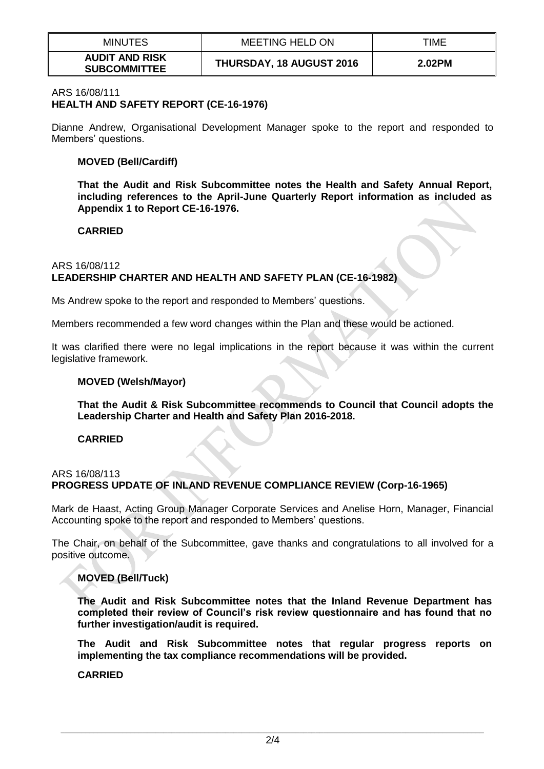| <b>MINUTES</b>                               | <b>MEETING HELD ON</b>          | TIME   |
|----------------------------------------------|---------------------------------|--------|
| <b>AUDIT AND RISK</b><br><b>SUBCOMMITTEE</b> | <b>THURSDAY, 18 AUGUST 2016</b> | 2.02PM |

#### ARS 16/08/111

# **HEALTH AND SAFETY REPORT (CE-16-1976)**

Dianne Andrew, Organisational Development Manager spoke to the report and responded to Members' questions.

#### **MOVED (Bell/Cardiff)**

**That the Audit and Risk Subcommittee notes the Health and Safety Annual Report, including references to the April-June Quarterly Report information as included as Appendix 1 to Report CE-16-1976.**

## **CARRIED**

## ARS 16/08/112 **LEADERSHIP CHARTER AND HEALTH AND SAFETY PLAN (CE-16-1982)**

Ms Andrew spoke to the report and responded to Members' questions.

Members recommended a few word changes within the Plan and these would be actioned.

It was clarified there were no legal implications in the report because it was within the current legislative framework.

#### **MOVED (Welsh/Mayor)**

**That the Audit & Risk Subcommittee recommends to Council that Council adopts the Leadership Charter and Health and Safety Plan 2016-2018.**

#### **CARRIED**

## ARS 16/08/113 **PROGRESS UPDATE OF INLAND REVENUE COMPLIANCE REVIEW (Corp-16-1965)**

Mark de Haast, Acting Group Manager Corporate Services and Anelise Horn, Manager, Financial Accounting spoke to the report and responded to Members' questions.

The Chair, on behalf of the Subcommittee, gave thanks and congratulations to all involved for a positive outcome.

## **MOVED (Bell/Tuck)**

**The Audit and Risk Subcommittee notes that the Inland Revenue Department has completed their review of Council's risk review questionnaire and has found that no further investigation/audit is required.**

**The Audit and Risk Subcommittee notes that regular progress reports on implementing the tax compliance recommendations will be provided.**

**CARRIED**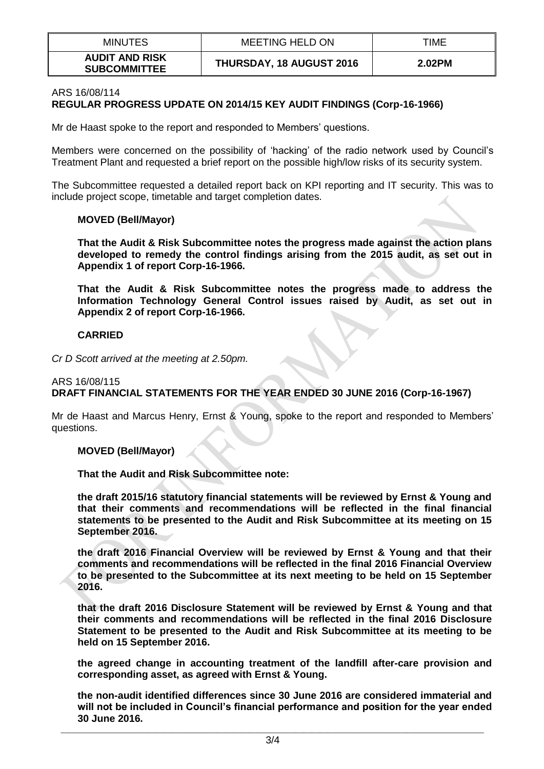| <b>MINUTES</b>                               | <b>MEETING HELD ON</b>          | TIME   |
|----------------------------------------------|---------------------------------|--------|
| <b>AUDIT AND RISK</b><br><b>SUBCOMMITTEE</b> | <b>THURSDAY, 18 AUGUST 2016</b> | 2.02PM |

## ARS 16/08/114 **REGULAR PROGRESS UPDATE ON 2014/15 KEY AUDIT FINDINGS (Corp-16-1966)**

Mr de Haast spoke to the report and responded to Members' questions.

Members were concerned on the possibility of 'hacking' of the radio network used by Council's Treatment Plant and requested a brief report on the possible high/low risks of its security system.

The Subcommittee requested a detailed report back on KPI reporting and IT security. This was to include project scope, timetable and target completion dates.

## **MOVED (Bell/Mayor)**

**That the Audit & Risk Subcommittee notes the progress made against the action plans developed to remedy the control findings arising from the 2015 audit, as set out in Appendix 1 of report Corp-16-1966.**

**That the Audit & Risk Subcommittee notes the progress made to address the Information Technology General Control issues raised by Audit, as set out in Appendix 2 of report Corp-16-1966.** 

## **CARRIED**

*Cr D Scott arrived at the meeting at 2.50pm.*

## ARS 16/08/115 **DRAFT FINANCIAL STATEMENTS FOR THE YEAR ENDED 30 JUNE 2016 (Corp-16-1967)**

Mr de Haast and Marcus Henry, Ernst & Young, spoke to the report and responded to Members' questions.

#### **MOVED (Bell/Mayor)**

**That the Audit and Risk Subcommittee note:**

**the draft 2015/16 statutory financial statements will be reviewed by Ernst & Young and that their comments and recommendations will be reflected in the final financial statements to be presented to the Audit and Risk Subcommittee at its meeting on 15 September 2016.**

**the draft 2016 Financial Overview will be reviewed by Ernst & Young and that their comments and recommendations will be reflected in the final 2016 Financial Overview to be presented to the Subcommittee at its next meeting to be held on 15 September 2016.**

**that the draft 2016 Disclosure Statement will be reviewed by Ernst & Young and that their comments and recommendations will be reflected in the final 2016 Disclosure Statement to be presented to the Audit and Risk Subcommittee at its meeting to be held on 15 September 2016.**

**the agreed change in accounting treatment of the landfill after-care provision and corresponding asset, as agreed with Ernst & Young.**

**the non-audit identified differences since 30 June 2016 are considered immaterial and will not be included in Council's financial performance and position for the year ended 30 June 2016.**